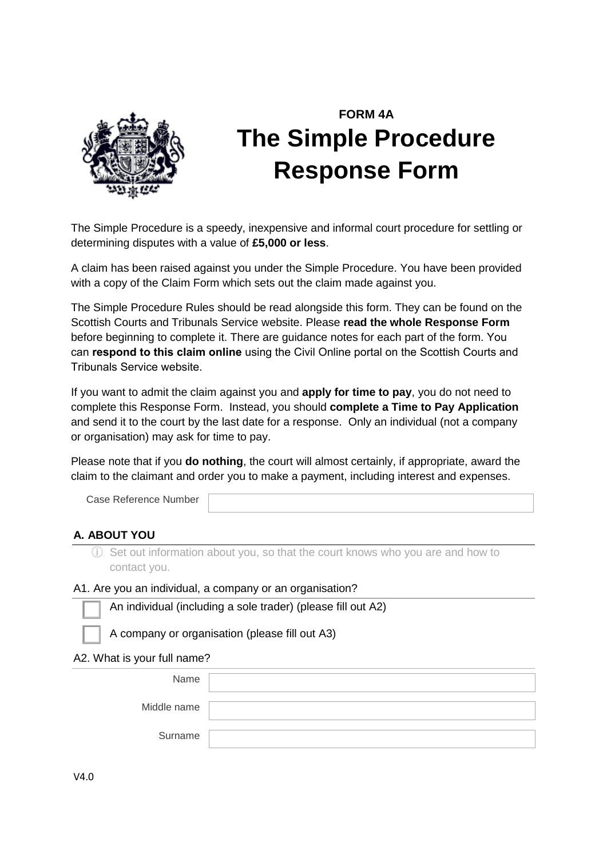

# **FORM 4A The Simple Procedure Response Form**

The Simple Procedure is a speedy, inexpensive and informal court procedure for settling or determining disputes with a value of **£5,000 or less**.

A claim has been raised against you under the Simple Procedure. You have been provided with a copy of the Claim Form which sets out the claim made against you.

The Simple Procedure Rules should be read alongside this form. They can be found on the Scottish Courts and Tribunals Service website. Please **read the whole Response Form** before beginning to complete it. There are guidance notes for each part of the form. You can **respond to this claim online** using the Civil Online portal on the Scottish Courts and Tribunals Service website.

If you want to admit the claim against you and **apply for time to pay**, you do not need to complete this Response Form. Instead, you should **complete a Time to Pay Application** and send it to the court by the last date for a response. Only an individual (not a company or organisation) may ask for time to pay.

Please note that if you **do nothing**, the court will almost certainly, if appropriate, award the claim to the claimant and order you to make a payment, including interest and expenses.

Case Reference Number

# **A. ABOUT YOU**

ⓘ Set out information about you, so that the court knows who you are and how to contact you.

#### A1. Are you an individual, a company or an organisation?



⃣ A company or organisation (please fill out A3)

A2. What is your full name?

| Name        |  |
|-------------|--|
| Middle name |  |
| Surname     |  |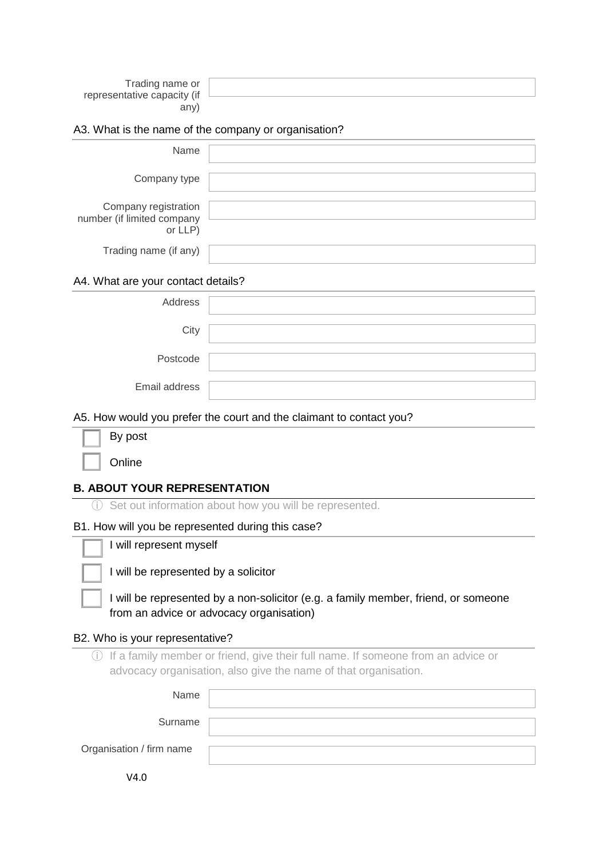| Trading name or             |  |
|-----------------------------|--|
| representative capacity (if |  |
| any)                        |  |

#### A3. What is the name of the company or organisation?

| Name                                                          |  |
|---------------------------------------------------------------|--|
| Company type                                                  |  |
| Company registration<br>number (if limited company<br>or LLP) |  |
| Trading name (if any)                                         |  |

#### A4. What are your contact details?

| Address       |  |
|---------------|--|
| City          |  |
| Postcode      |  |
| Email address |  |

#### A5. How would you prefer the court and the claimant to contact you?

|  | By post |
|--|---------|
|  |         |

**Online** 

#### **B. ABOUT YOUR REPRESENTATION**

ⓘ Set out information about how you will be represented.

#### B1. How will you be represented during this case?

I will represent myself

I will be represented by a solicitor

I will be represented by a non-solicitor (e.g. a family member, friend, or someone from an advice or advocacy organisation)

#### B2. Who is your representative?

ⓘ If a family member or friend, give their full name. If someone from an advice or advocacy organisation, also give the name of that organisation.

| Name                     |  |
|--------------------------|--|
| Surname                  |  |
| Organisation / firm name |  |
|                          |  |

V4.0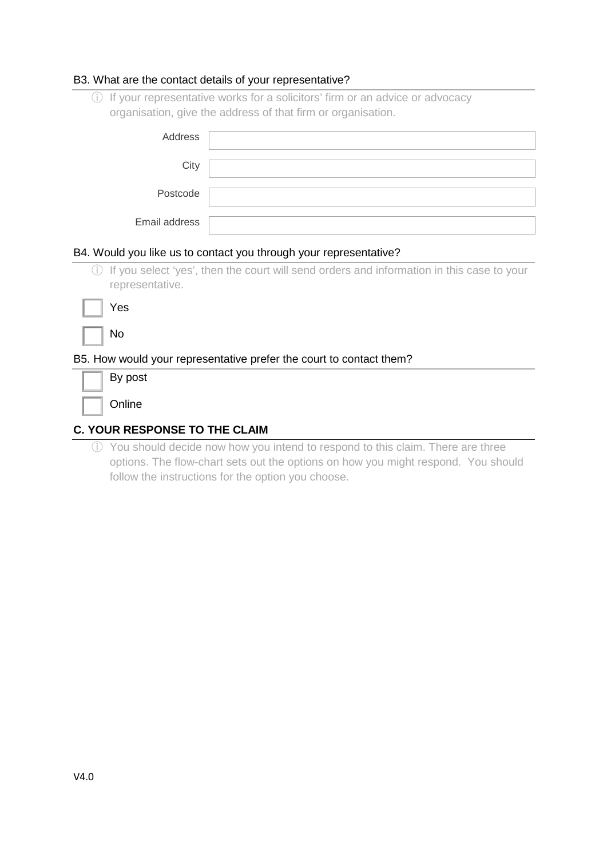#### B3. What are the contact details of your representative?

ⓘ If your representative works for a solicitors' firm or an advice or advocacy organisation, give the address of that firm or organisation.

| Address       |  |
|---------------|--|
| City          |  |
| Postcode      |  |
| Email address |  |

#### B4. Would you like us to contact you through your representative?

ⓘ If you select 'yes', then the court will send orders and information in this case to your representative.

| ٧<br>es |
|---------|
|         |

|  | M.<br>۰, |
|--|----------|
|  |          |

#### B5. How would your representative prefer the court to contact them?

| By post |
|---------|
| Online  |

# **C. YOUR RESPONSE TO THE CLAIM**

ⓘ You should decide now how you intend to respond to this claim. There are three options. The flow-chart sets out the options on how you might respond. You should follow the instructions for the option you choose.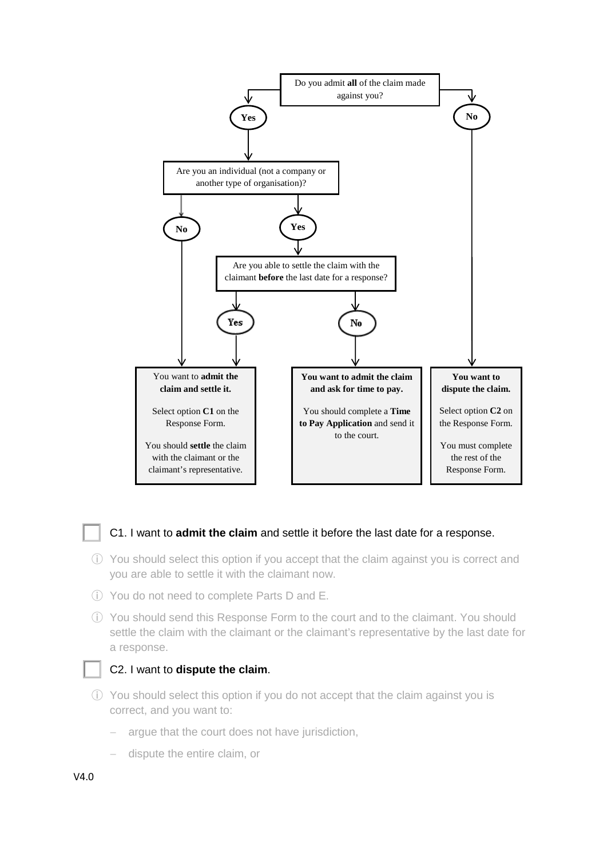

# ⃣ C1. I want to **admit the claim** and settle it before the last date for a response.

- ⓘ You should select this option if you accept that the claim against you is correct and you are able to settle it with the claimant now.
- ⓘ You do not need to complete Parts D and E.
- ⓘ You should send this Response Form to the court and to the claimant. You should settle the claim with the claimant or the claimant's representative by the last date for a response.

#### ⃣ C2. I want to **dispute the claim**.

- ⓘ You should select this option if you do not accept that the claim against you is correct, and you want to:
	- argue that the court does not have jurisdiction,
	- − dispute the entire claim, or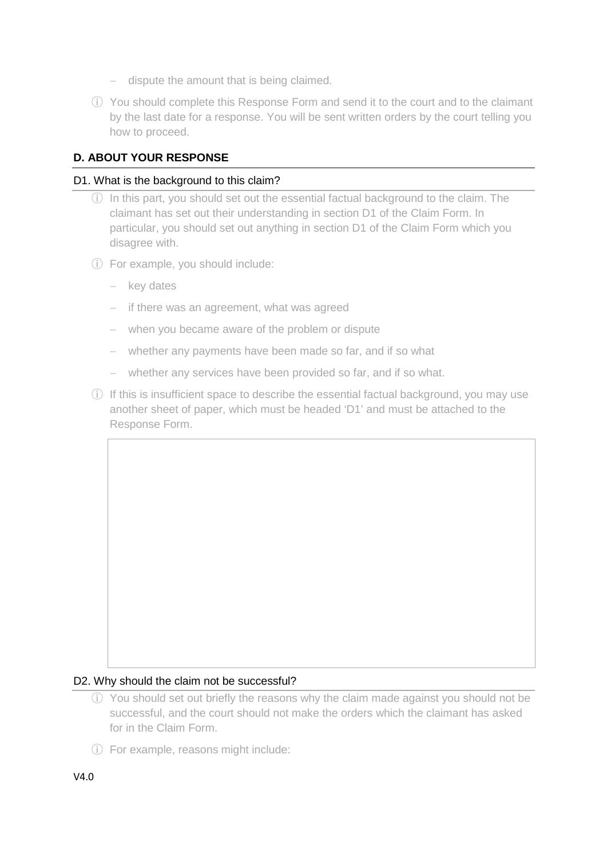- − dispute the amount that is being claimed.
- ⓘ You should complete this Response Form and send it to the court and to the claimant by the last date for a response. You will be sent written orders by the court telling you how to proceed.

# **D. ABOUT YOUR RESPONSE**

#### D1. What is the background to this claim?

- ⓘ In this part, you should set out the essential factual background to the claim. The claimant has set out their understanding in section D1 of the Claim Form. In particular, you should set out anything in section D1 of the Claim Form which you disagree with.
- ⓘ For example, you should include:
	- − key dates
	- − if there was an agreement, what was agreed
	- − when you became aware of the problem or dispute
	- − whether any payments have been made so far, and if so what
	- − whether any services have been provided so far, and if so what.
- ⓘ If this is insufficient space to describe the essential factual background, you may use another sheet of paper, which must be headed 'D1' and must be attached to the Response Form.

# D2. Why should the claim not be successful?

- ⓘ You should set out briefly the reasons why the claim made against you should not be successful, and the court should not make the orders which the claimant has asked for in the Claim Form.
- ⓘ For example, reasons might include: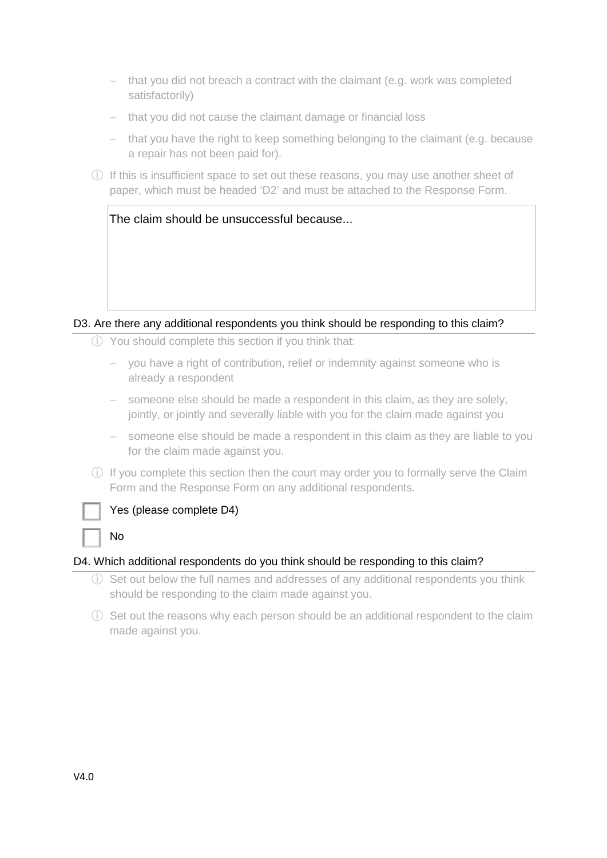- that you did not breach a contract with the claimant (e.g. work was completed satisfactorily)
- − that you did not cause the claimant damage or financial loss
- − that you have the right to keep something belonging to the claimant (e.g. because a repair has not been paid for).
- ⓘ If this is insufficient space to set out these reasons, you may use another sheet of paper, which must be headed 'D2' and must be attached to the Response Form.

# D3. Are there any additional respondents you think should be responding to this claim?

- ⓘ You should complete this section if you think that:
	- − you have a right of contribution, relief or indemnity against someone who is already a respondent
	- someone else should be made a respondent in this claim, as they are solely, jointly, or jointly and severally liable with you for the claim made against you
	- − someone else should be made a respondent in this claim as they are liable to you for the claim made against you.
- ⓘ If you complete this section then the court may order you to formally serve the Claim Form and the Response Form on any additional respondents.



# Yes (please complete D4)

N<sub>o</sub>

# D4. Which additional respondents do you think should be responding to this claim?

- ⓘ Set out below the full names and addresses of any additional respondents you think should be responding to the claim made against you.
- ⓘ Set out the reasons why each person should be an additional respondent to the claim made against you.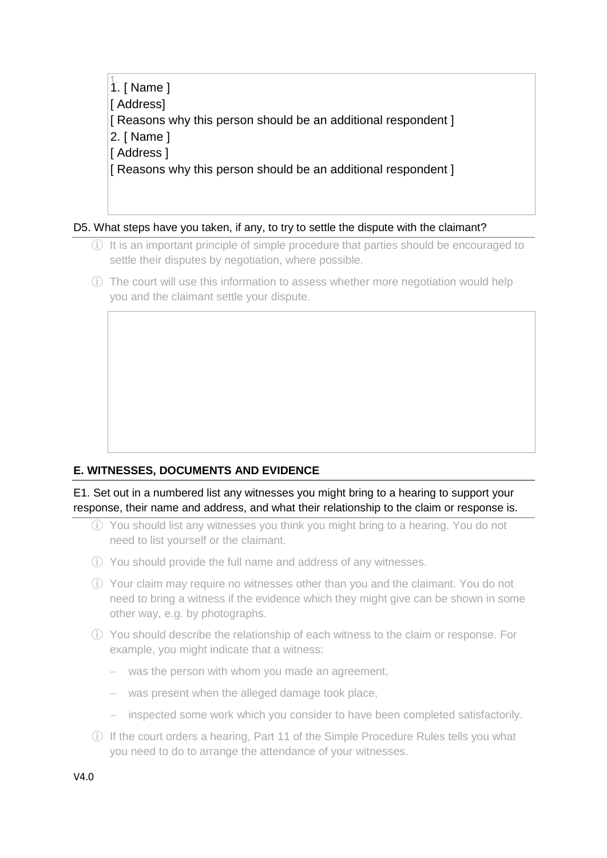1. 1. [ Name ] [ Address] [ Reasons why this person should be an additional respondent ] 2. [ Name ] [ Address ] [ Reasons why this person should be an additional respondent ]

D5. What steps have you taken, if any, to try to settle the dispute with the claimant?

- ⓘ It is an important principle of simple procedure that parties should be encouraged to settle their disputes by negotiation, where possible.
- ⓘ The court will use this information to assess whether more negotiation would help you and the claimant settle your dispute.

# **E. WITNESSES, DOCUMENTS AND EVIDENCE**

E1. Set out in a numbered list any witnesses you might bring to a hearing to support your response, their name and address, and what their relationship to the claim or response is.

- ⓘ You should list any witnesses you think you might bring to a hearing. You do not need to list yourself or the claimant.
- ⓘ You should provide the full name and address of any witnesses.
- ⓘ Your claim may require no witnesses other than you and the claimant. You do not need to bring a witness if the evidence which they might give can be shown in some other way, e.g. by photographs.
- ⓘ You should describe the relationship of each witness to the claim or response. For example, you might indicate that a witness:
	- was the person with whom you made an agreement,
	- − was present when the alleged damage took place,
	- − inspected some work which you consider to have been completed satisfactorily.
- ⓘ If the court orders a hearing, Part 11 of the Simple Procedure Rules tells you what you need to do to arrange the attendance of your witnesses.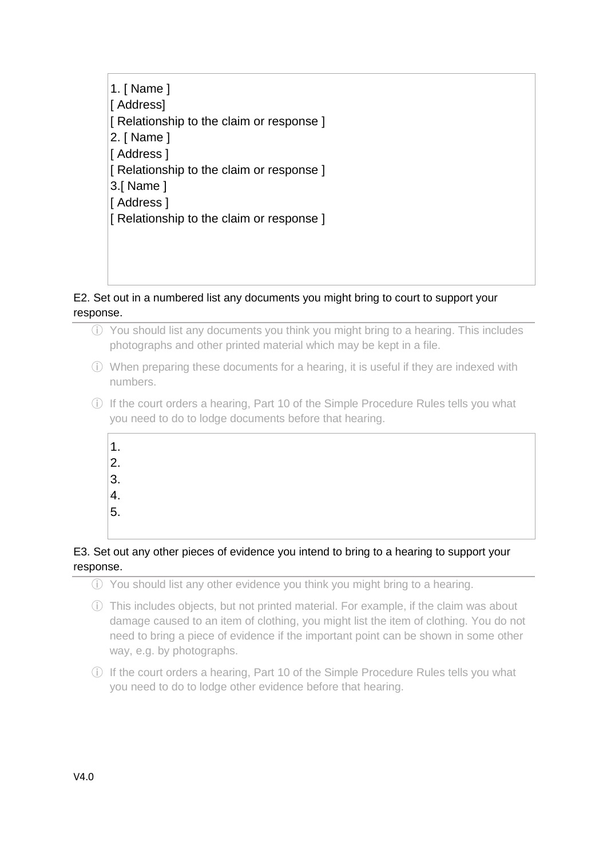1. [ Name ] [ Address] [ Relationship to the claim or response ] 2. [ Name ] [ Address ] [ Relationship to the claim or response ] 3.[ Name ] [ Address ] [ Relationship to the claim or response ]

# E2. Set out in a numbered list any documents you might bring to court to support your response.

- ⓘ You should list any documents you think you might bring to a hearing. This includes photographs and other printed material which may be kept in a file.
- ⓘ When preparing these documents for a hearing, it is useful if they are indexed with numbers.
- ⓘ If the court orders a hearing, Part 10 of the Simple Procedure Rules tells you what you need to do to lodge documents before that hearing.
	- $\vert$ 1.  $|2.$  $|3.$  $\vert 4.$  $|5.$

# E3. Set out any other pieces of evidence you intend to bring to a hearing to support your response.

- ⓘ You should list any other evidence you think you might bring to a hearing.
- ⓘ This includes objects, but not printed material. For example, if the claim was about damage caused to an item of clothing, you might list the item of clothing. You do not need to bring a piece of evidence if the important point can be shown in some other way, e.g. by photographs.
- ⓘ If the court orders a hearing, Part 10 of the Simple Procedure Rules tells you what you need to do to lodge other evidence before that hearing.